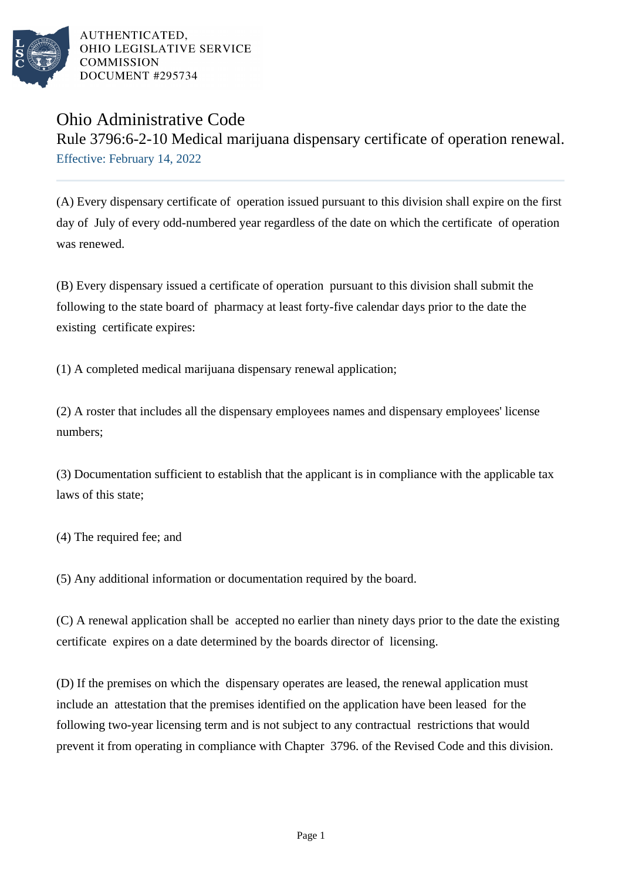

AUTHENTICATED. OHIO LEGISLATIVE SERVICE **COMMISSION** DOCUMENT #295734

## Ohio Administrative Code

Rule 3796:6-2-10 Medical marijuana dispensary certificate of operation renewal. Effective: February 14, 2022

(A) Every dispensary certificate of operation issued pursuant to this division shall expire on the first day of July of every odd-numbered year regardless of the date on which the certificate of operation was renewed.

(B) Every dispensary issued a certificate of operation pursuant to this division shall submit the following to the state board of pharmacy at least forty-five calendar days prior to the date the existing certificate expires:

(1) A completed medical marijuana dispensary renewal application;

 $(2)$  A roster that includes all the dispensary employees names and dispensary employees' license numbers;

(3) Documentation sufficient to establish that the applicant is in compliance with the applicable tax laws of this state;

(4) The required fee; and

(5) Any additional information or documentation required by the board.

(C) A renewal application shall be accepted no earlier than ninety days prior to the date the existing certificate expires on a date determined by the boards director of licensing.

(D) If the premises on which the dispensary operates are leased, the renewal application must include an attestation that the premises identified on the application have been leased for the following two-year licensing term and is not subject to any contractual restrictions that would prevent it from operating in compliance with Chapter 3796. of the Revised Code and this division.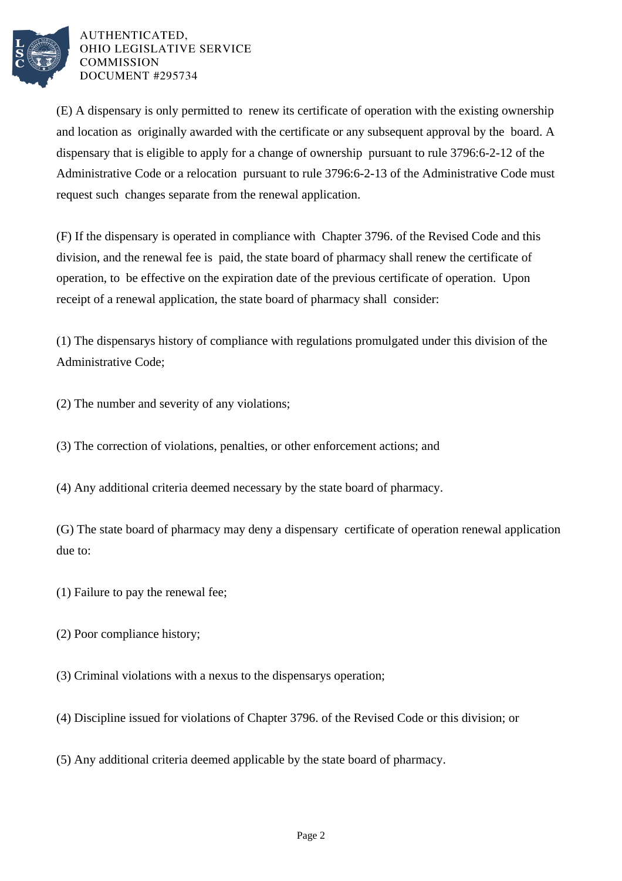

AUTHENTICATED. OHIO LEGISLATIVE SERVICE **COMMISSION** DOCUMENT #295734

(E) A dispensary is only permitted to renew its certificate of operation with the existing ownership and location as originally awarded with the certificate or any subsequent approval by the board. A dispensary that is eligible to apply for a change of ownership pursuant to rule 3796:6-2-12 of the Administrative Code or a relocation pursuant to rule 3796:6-2-13 of the Administrative Code must request such changes separate from the renewal application.

(F) If the dispensary is operated in compliance with Chapter 3796. of the Revised Code and this division, and the renewal fee is paid, the state board of pharmacy shall renew the certificate of operation, to be effective on the expiration date of the previous certificate of operation. Upon receipt of a renewal application, the state board of pharmacy shall consider:

(1) The dispensarys history of compliance with regulations promulgated under this division of the Administrative Code;

(2) The number and severity of any violations;

(3) The correction of violations, penalties, or other enforcement actions; and

(4) Any additional criteria deemed necessary by the state board of pharmacy.

(G) The state board of pharmacy may deny a dispensary certificate of operation renewal application due to:

 $(1)$  Failure to pay the renewal fee;

(2) Poor compliance history;

(3) Criminal violations with a nexus to the dispensarys operation;

(4) Discipline issued for violations of Chapter 3796. of the Revised Code or this division; or

(5) Any additional criteria deemed applicable by the state board of pharmacy.